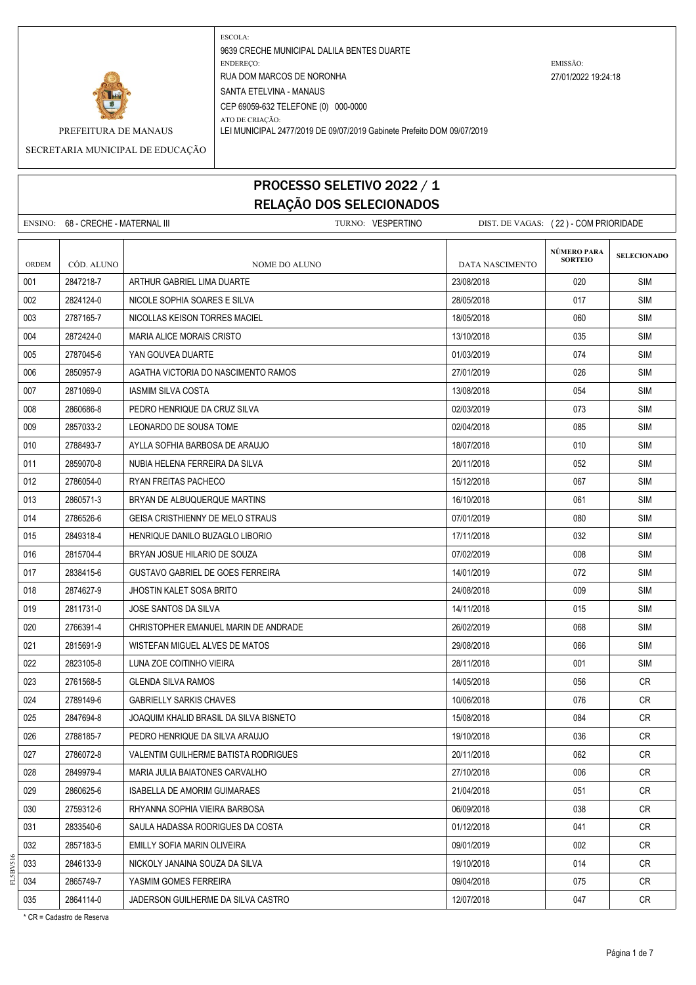

ATO DE CRIAÇÃO:

9639 CRECHE MUNICIPAL DALILA BENTES DUARTE ENDEREÇO: EMISSÃO: RUA DOM MARCOS DE NORONHA 27/01/2022 19:24:18 SANTA ETELVINA - MANAUS CEP 69059-632 TELEFONE (0) 000-0000

PREFEITURA DE MANAUS LEI MUNICIPAL 2477/2019 DE 09/07/2019 Gabinete Prefeito DOM 09/07/2019

SECRETARIA MUNICIPAL DE EDUCAÇÃO

#### PROCESSO SELETIVO 2022 / 1 RELAÇÃO DOS SELECIONADOS

ENSINO: 68 - CRECHE - MATERNAL III TURNO: VESPERTINO DIST. DE VAGAS: ( 22 ) - COM PRIORIDADE **SELECIONADO** ORDEM CÓD. ALUNO **NOME DO ALUNO** NOME DO ALUNO DATA NASCIMENTO 001 2847218-7 ARTHUR GABRIEL LIMA DUARTE 23/08/2018 020 SIM 002 2824124-0 NICOLE SOPHIA SOARES E SILVA 26.000 28/05/2018 0017 SIM 003 2787165-7 NICOLLAS KEISON TORRES MACIEL 18/05/2018 SIM 004 2872424-0 MARIA ALICE MORAIS CRISTO 1300000 13/10/2018 13/10/2018 13/10 135 SIM 005 2787045-6 XAN GOUVEA DUARTE CONSIDERED AND RESERVE DESIGN ON A LOCAL SIMILAR SIMILAR SIMILAR SIMI 006 2850957-9 AGATHA VICTORIA DO NASCIMENTO RAMOS 27/01/2019 026 SIM 007 2871069-0 | IASMIM SILVA COSTA 13 | 13/08/2018 | 13/08/2018 | 13/08/2018 | 13/08/2018 | SIM 008 2860686-8 PEDRO HENRIQUE DA CRUZ SILVA 02/03/2019 073 SIM 009 2857033-2 LEONARDO DE SOUSA TOME 02/04/2018 085 SIM 010 2788493-7 AYLLA SOFHIA BARBOSA DE ARAUJO 18/07/2018 | 18/07/2018 | 19/07/2018 | 18/07 011 2859070-8 NUBIA HELENA FERREIRA DA SILVA 2011 2011/2018 20/11/2018 052 SIM 012 2786054-0 RYAN FREITAS PACHECO 15/12/2018 15/12/2018 15/12/2018 067 SIM 013 2860571-3 BRYAN DE ALBUQUERQUE MARTINS 16/10/2018 061 SIM 014 2786526-6 GEISA CRISTHIENNY DE MELO STRAUS 07/01/2019 080 SIM 015 2849318-4 HENRIQUE DANILO BUZAGLO LIBORIO 17 17 17 17/11/2018 17/11/2018 1932 SIM 016 2815704-4 BRYAN JOSUE HILARIO DE SOUZA 07/02/2019 SIM 017 2838415-6 GUSTAVO GABRIEL DE GOES FERREIRA 14/01/2019 14/01/2019 14/01/2019 15/072 SIM 018 2874627-9 JJHOSTIN KALET SOSA BRITO 24/08/2018 24/08/2018 2010 25/09 SIM 019 2811731-0 JOSE SANTOS DA SILVA 14/11/2018 | 14/11/2018 | 015 | SIM 020 2766391-4 CHRISTOPHER EMANUEL MARIN DE ANDRADE 26/02/2019 068 SIM 021 2815691-9 WISTEFAN MIGUEL ALVES DE MATOS 29/08/2018 29/08/2018 29/08/2018 29/08 022 2823105-8 LUNA ZOE COITINHO VIEIRA 28/2000 28/11/2018 28/11/2018 001 SIM 023 2761568-5 GLENDA SILVA RAMOS 14/05/2018 14/05/2018 14/05/2018 056 CR 024 2789149-6 GABRIELLY SARKIS CHAVES 10/06/2018 076 CR 025 2847694-8 JOAQUIM KHALID BRASIL DA SILVA BISNETO 15/08/2018 | 15/08/2018 | 084 | CR 026 2788185-7 PEDRO HENRIQUE DA SILVA ARAUJO 19/10/2018 036 CR 027 2786072-8 VALENTIM GUILHERME BATISTA RODRIGUES 20/11/2018 062 CR 028 2849979-4 MARIA JULIA BAIATONES CARVALHO 27/10/2018 006 CR 029 2860625-6 ISABELLA DE AMORIM GUIMARAES 21/04/2018 051 CR 030 2759312-6 RHYANNA SOPHIA VIEIRA BARBOSA 06/09/2018 038 CR 031 2833540-6 SAULA HADASSA RODRIGUES DA COSTA 01/12/2018 041 CR 032 2857183-5 EMILLY SOFIA MARIN OLIVEIRA 09/01/2019 002 CR 033 2846133-9 NICKOLY JANAINA SOUZA DA SILVA 19/10/2018 014 CR 034 2865749-7 YASMIM GOMES FERREIRA 09/04/2018 075 CR 035 2864114-0 JADERSON GUILHERME DA SILVA CASTRO 12007/2018 | 12/07/2018 | 047 CR **NÚMERO PARA SORTEIO**

\* CR = Cadastro de Reserva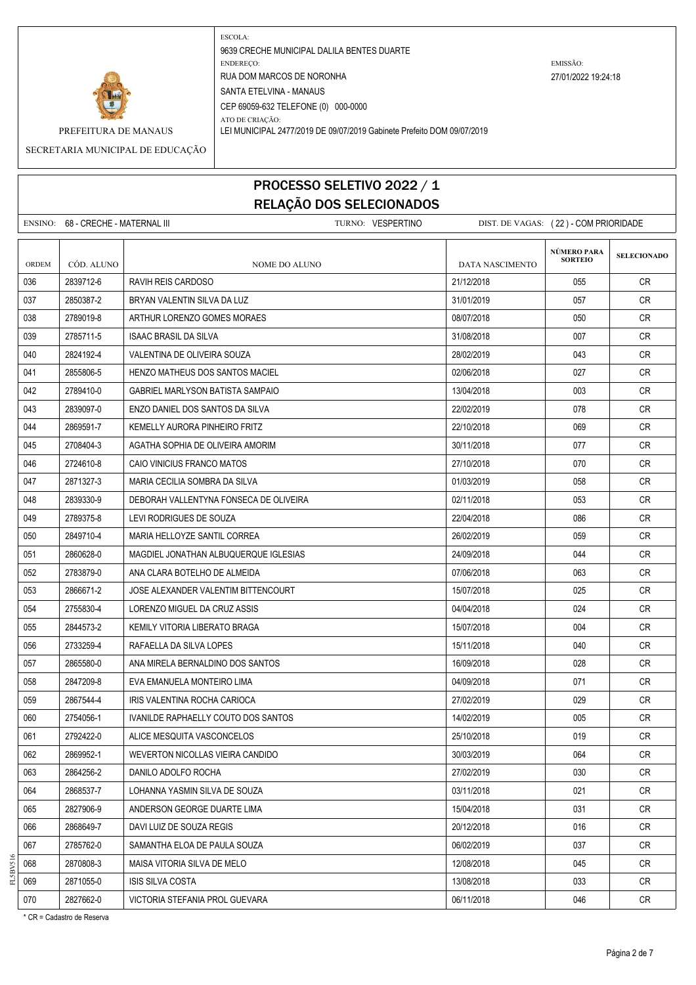

ATO DE CRIAÇÃO: PREFEITURA DE MANAUS LEI MUNICIPAL 2477/2019 DE 09/07/2019 Gabinete Prefeito DOM 09/07/2019

SECRETARIA MUNICIPAL DE EDUCAÇÃO

## PROCESSO SELETIVO 2022 / 1 RELAÇÃO DOS SELECIONADOS

|              | ENSINO: 68 - CRECHE - MATERNAL III |                                         | TURNO: VESPERTINO | DIST. DE VAGAS: (22) - COM PRIORIDADE |                               |                    |
|--------------|------------------------------------|-----------------------------------------|-------------------|---------------------------------------|-------------------------------|--------------------|
| <b>ORDEM</b> | CÓD. ALUNO                         | <b>NOME DO ALUNO</b>                    |                   | DATA NASCIMENTO                       | NÚMERO PARA<br><b>SORTEIO</b> | <b>SELECIONADO</b> |
| 036          | 2839712-6                          | RAVIH REIS CARDOSO                      |                   | 21/12/2018                            | 055                           | CR.                |
| 037          | 2850387-2                          | BRYAN VALENTIN SILVA DA LUZ             |                   | 31/01/2019                            | 057                           | CR.                |
| 038          | 2789019-8                          | ARTHUR LORENZO GOMES MORAES             |                   | 08/07/2018                            | 050                           | CR                 |
| 039          | 2785711-5                          | <b>ISAAC BRASIL DA SILVA</b>            |                   | 31/08/2018                            | 007                           | CR                 |
| 040          | 2824192-4                          | VALENTINA DE OLIVEIRA SOUZA             |                   | 28/02/2019                            | 043                           | CR                 |
| 041          | 2855806-5                          | <b>HENZO MATHEUS DOS SANTOS MACIEL</b>  |                   | 02/06/2018                            | 027                           | CR.                |
| 042          | 2789410-0                          | <b>GABRIEL MARLYSON BATISTA SAMPAIO</b> |                   | 13/04/2018                            | 003                           | CR.                |
| 043          | 2839097-0                          | ENZO DANIEL DOS SANTOS DA SILVA         |                   | 22/02/2019                            | 078                           | CR.                |
| 044          | 2869591-7                          | KEMELLY AURORA PINHEIRO FRITZ           |                   | 22/10/2018                            | 069                           | CR.                |
| 045          | 2708404-3                          | AGATHA SOPHIA DE OLIVEIRA AMORIM        |                   | 30/11/2018                            | 077                           | <b>CR</b>          |
| 046          | 2724610-8                          | CAIO VINICIUS FRANCO MATOS              |                   | 27/10/2018                            | 070                           | CR                 |
| 047          | 2871327-3                          | MARIA CECILIA SOMBRA DA SILVA           |                   | 01/03/2019                            | 058                           | CR.                |
| 048          | 2839330-9                          | DEBORAH VALLENTYNA FONSECA DE OLIVEIRA  |                   | 02/11/2018                            | 053                           | CR                 |
| 049          | 2789375-8                          | LEVI RODRIGUES DE SOUZA                 |                   | 22/04/2018                            | 086                           | CR.                |
| 050          | 2849710-4                          | MARIA HELLOYZE SANTIL CORREA            |                   | 26/02/2019                            | 059                           | CR                 |
| 051          | 2860628-0                          | MAGDIEL JONATHAN ALBUQUERQUE IGLESIAS   |                   | 24/09/2018                            | 044                           | <b>CR</b>          |
| 052          | 2783879-0                          | ANA CLARA BOTELHO DE ALMEIDA            |                   | 07/06/2018                            | 063                           | CR.                |
| 053          | 2866671-2                          | JOSE ALEXANDER VALENTIM BITTENCOURT     |                   | 15/07/2018                            | 025                           | CR.                |
| 054          | 2755830-4                          | LORENZO MIGUEL DA CRUZ ASSIS            |                   | 04/04/2018                            | 024                           | CR                 |
| 055          | 2844573-2                          | KEMILY VITORIA LIBERATO BRAGA           |                   | 15/07/2018                            | 004                           | CR                 |
| 056          | 2733259-4                          | RAFAELLA DA SILVA LOPES                 |                   | 15/11/2018                            | 040                           | CR                 |
| 057          | 2865580-0                          | ANA MIRELA BERNALDINO DOS SANTOS        |                   | 16/09/2018                            | 028                           | CR                 |
| 058          | 2847209-8                          | EVA EMANUELA MONTEIRO LIMA              |                   | 04/09/2018                            | 071                           | CR.                |
| 059          | 2867544-4                          | IRIS VALENTINA ROCHA CARIOCA            |                   | 27/02/2019                            | 029                           | <b>CR</b>          |
| 060          | 2754056-1                          | IVANILDE RAPHAELLY COUTO DOS SANTOS     |                   | 14/02/2019                            | 005                           | CR.                |
| 061          | 2792422-0                          | ALICE MESQUITA VASCONCELOS              |                   | 25/10/2018                            | 019                           | <b>CR</b>          |
| 062          | 2869952-1                          | WEVERTON NICOLLAS VIEIRA CANDIDO        |                   | 30/03/2019                            | 064                           | CR                 |
| 063          | 2864256-2                          | DANILO ADOLFO ROCHA                     |                   | 27/02/2019                            | 030                           | CR                 |
| 064          | 2868537-7                          | LOHANNA YASMIN SILVA DE SOUZA           |                   | 03/11/2018                            | 021                           | CR                 |
| 065          | 2827906-9                          | ANDERSON GEORGE DUARTE LIMA             |                   | 15/04/2018                            | 031                           | <b>CR</b>          |
| 066          | 2868649-7                          | DAVI LUIZ DE SOUZA REGIS                |                   | 20/12/2018                            | 016                           | CR                 |
| 067          | 2785762-0                          | SAMANTHA ELOA DE PAULA SOUZA            |                   | 06/02/2019                            | 037                           | <b>CR</b>          |
| 068          | 2870808-3                          | MAISA VITORIA SILVA DE MELO             |                   | 12/08/2018                            | 045                           | CR                 |
| 069          | 2871055-0                          | <b>ISIS SILVA COSTA</b>                 |                   | 13/08/2018                            | 033                           | CR                 |
| 070          | 2827662-0                          | VICTORIA STEFANIA PROL GUEVARA          |                   | 06/11/2018                            | 046                           | CR                 |

\* CR = Cadastro de Reserva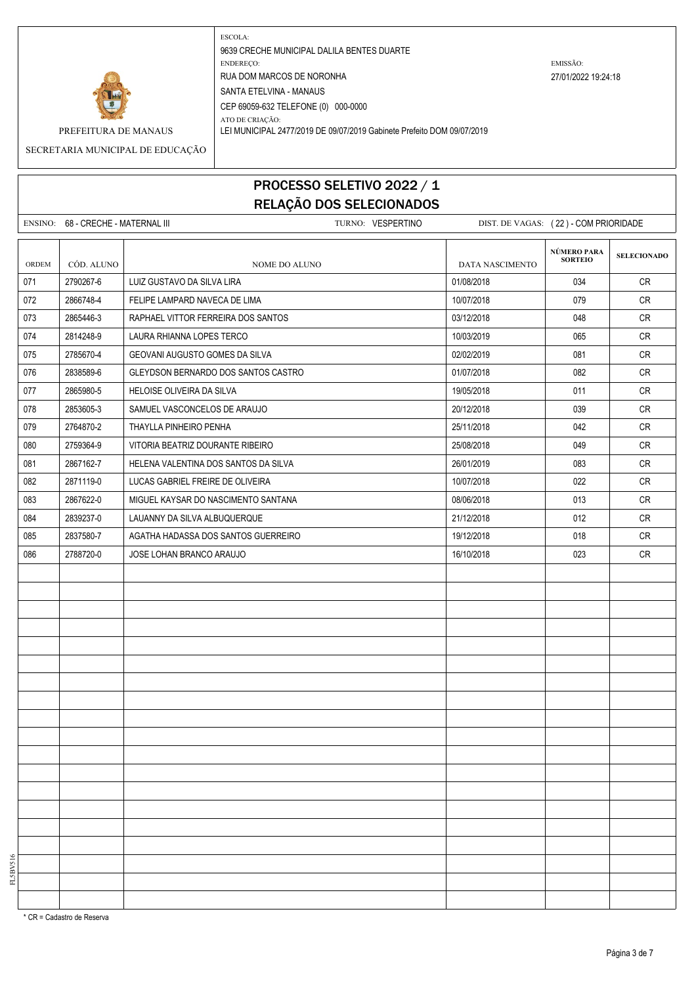

ATO DE CRIAÇÃO:

9639 CRECHE MUNICIPAL DALILA BENTES DUARTE ENDEREÇO: EMISSÃO: RUA DOM MARCOS DE NORONHA 27/01/2022 19:24:18 SANTA ETELVINA - MANAUS CEP 69059-632 TELEFONE (0) 000-0000

PREFEITURA DE MANAUS LEI MUNICIPAL 2477/2019 DE 09/07/2019 Gabinete Prefeito DOM 09/07/2019

SECRETARIA MUNICIPAL DE EDUCAÇÃO

# PROCESSO SELETIVO 2022 / 1 RELAÇÃO DOS SELECIONADOS

|       | ENSINO: 68 - CRECHE - MATERNAL III |                                      | TURNO: VESPERTINO | DIST. DE VAGAS: (22) - COM PRIORIDADE |                               |                    |
|-------|------------------------------------|--------------------------------------|-------------------|---------------------------------------|-------------------------------|--------------------|
| ORDEM | CÓD. ALUNO                         | NOME DO ALUNO                        |                   | <b>DATA NASCIMENTO</b>                | NÚMERO PARA<br><b>SORTEIO</b> | <b>SELECIONADO</b> |
| 071   | 2790267-6                          | LUIZ GUSTAVO DA SILVA LIRA           |                   | 01/08/2018                            | 034                           | CR                 |
| 072   | 2866748-4                          | FELIPE LAMPARD NAVECA DE LIMA        |                   | 10/07/2018                            | 079                           | <b>CR</b>          |
| 073   | 2865446-3                          | RAPHAEL VITTOR FERREIRA DOS SANTOS   |                   | 03/12/2018                            | 048                           | <b>CR</b>          |
| 074   | 2814248-9                          | LAURA RHIANNA LOPES TERCO            |                   | 10/03/2019                            | 065                           | <b>CR</b>          |
| 075   | 2785670-4                          | GEOVANI AUGUSTO GOMES DA SILVA       |                   | 02/02/2019                            | 081                           | <b>CR</b>          |
| 076   | 2838589-6                          | GLEYDSON BERNARDO DOS SANTOS CASTRO  |                   | 01/07/2018                            | 082                           | <b>CR</b>          |
| 077   | 2865980-5                          | HELOISE OLIVEIRA DA SILVA            |                   | 19/05/2018                            | 011                           | <b>CR</b>          |
| 078   | 2853605-3                          | SAMUEL VASCONCELOS DE ARAUJO         |                   | 20/12/2018                            | 039                           | <b>CR</b>          |
| 079   | 2764870-2                          | THAYLLA PINHEIRO PENHA               |                   | 25/11/2018                            | 042                           | <b>CR</b>          |
| 080   | 2759364-9                          | VITORIA BEATRIZ DOURANTE RIBEIRO     |                   | 25/08/2018                            | 049                           | CR                 |
| 081   | 2867162-7                          | HELENA VALENTINA DOS SANTOS DA SILVA |                   | 26/01/2019                            | 083                           | <b>CR</b>          |
| 082   | 2871119-0                          | LUCAS GABRIEL FREIRE DE OLIVEIRA     |                   | 10/07/2018                            | 022                           | <b>CR</b>          |
| 083   | 2867622-0                          | MIGUEL KAYSAR DO NASCIMENTO SANTANA  |                   | 08/06/2018                            | 013                           | CR                 |
| 084   | 2839237-0                          | LAUANNY DA SILVA ALBUQUERQUE         |                   | 21/12/2018                            | 012                           | <b>CR</b>          |
| 085   | 2837580-7                          | AGATHA HADASSA DOS SANTOS GUERREIRO  |                   | 19/12/2018                            | 018                           | <b>CR</b>          |
| 086   | 2788720-0                          | JOSE LOHAN BRANCO ARAUJO             |                   | 16/10/2018                            | 023                           | <b>CR</b>          |
|       |                                    |                                      |                   |                                       |                               |                    |
|       |                                    |                                      |                   |                                       |                               |                    |
|       |                                    |                                      |                   |                                       |                               |                    |
|       |                                    |                                      |                   |                                       |                               |                    |
|       |                                    |                                      |                   |                                       |                               |                    |
|       |                                    |                                      |                   |                                       |                               |                    |
|       |                                    |                                      |                   |                                       |                               |                    |
|       |                                    |                                      |                   |                                       |                               |                    |
|       |                                    |                                      |                   |                                       |                               |                    |
|       |                                    |                                      |                   |                                       |                               |                    |
|       |                                    |                                      |                   |                                       |                               |                    |
|       |                                    |                                      |                   |                                       |                               |                    |
|       |                                    |                                      |                   |                                       |                               |                    |
|       |                                    |                                      |                   |                                       |                               |                    |
|       |                                    |                                      |                   |                                       |                               |                    |
|       |                                    |                                      |                   |                                       |                               |                    |
|       |                                    |                                      |                   |                                       |                               |                    |
|       |                                    |                                      |                   |                                       |                               |                    |
|       |                                    |                                      |                   |                                       |                               |                    |

\* CR = Cadastro de Reserva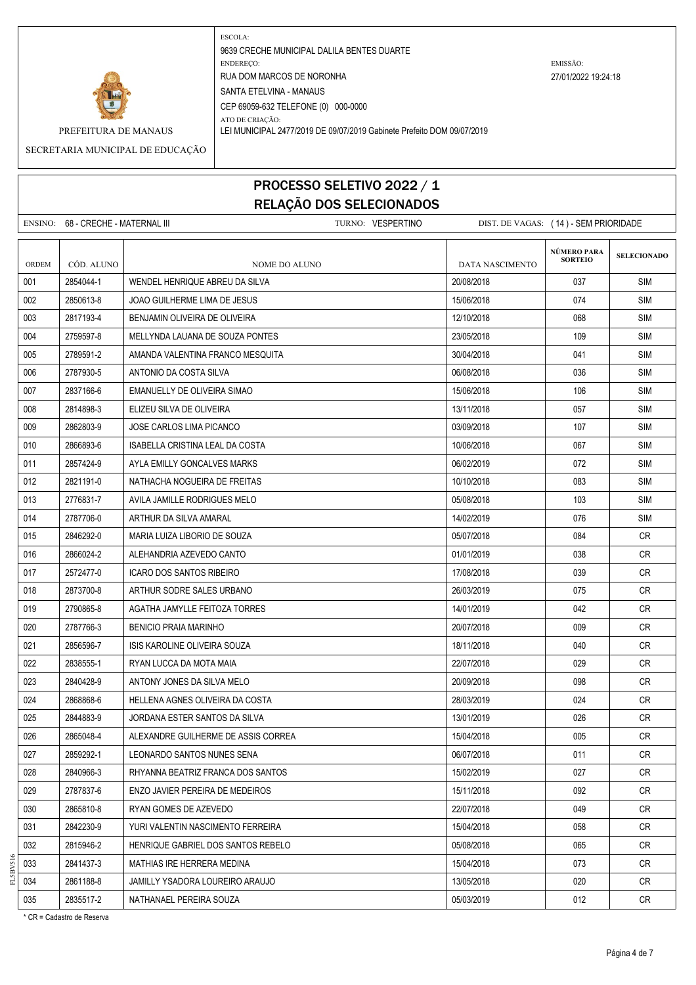

ATO DE CRIAÇÃO: PREFEITURA DE MANAUS LEI MUNICIPAL 2477/2019 DE 09/07/2019 Gabinete Prefeito DOM 09/07/2019

SECRETARIA MUNICIPAL DE EDUCAÇÃO

## PROCESSO SELETIVO 2022 / 1 RELAÇÃO DOS SELECIONADOS

|       | ENSINO: 68 - CRECHE - MATERNAL III | TURNO: VESPERTINO                   | DIST. DE VAGAS: (14) - SEM PRIORIDADE |                |                    |
|-------|------------------------------------|-------------------------------------|---------------------------------------|----------------|--------------------|
|       |                                    |                                     |                                       | NÚMERO PARA    |                    |
| ORDEM | CÓD. ALUNO                         | NOME DO ALUNO                       | DATA NASCIMENTO                       | <b>SORTEIO</b> | <b>SELECIONADO</b> |
| 001   | 2854044-1                          | WENDEL HENRIQUE ABREU DA SILVA      | 20/08/2018                            | 037            | <b>SIM</b>         |
| 002   | 2850613-8                          | <b>JOAO GUILHERME LIMA DE JESUS</b> | 15/06/2018                            | 074            | <b>SIM</b>         |
| 003   | 2817193-4                          | BENJAMIN OLIVEIRA DE OLIVEIRA       | 12/10/2018                            | 068            | <b>SIM</b>         |
| 004   | 2759597-8                          | MELLYNDA LAUANA DE SOUZA PONTES     | 23/05/2018                            | 109            | <b>SIM</b>         |
| 005   | 2789591-2                          | AMANDA VALENTINA FRANCO MESQUITA    | 30/04/2018                            | 041            | <b>SIM</b>         |
| 006   | 2787930-5                          | ANTONIO DA COSTA SILVA              | 06/08/2018                            | 036            | <b>SIM</b>         |
| 007   | 2837166-6                          | EMANUELLY DE OLIVEIRA SIMAO         | 15/06/2018                            | 106            | <b>SIM</b>         |
| 008   | 2814898-3                          | ELIZEU SILVA DE OLIVEIRA            | 13/11/2018                            | 057            | <b>SIM</b>         |
| 009   | 2862803-9                          | JOSE CARLOS LIMA PICANCO            | 03/09/2018                            | 107            | <b>SIM</b>         |
| 010   | 2866893-6                          | ISABELLA CRISTINA LEAL DA COSTA     | 10/06/2018                            | 067            | <b>SIM</b>         |
| 011   | 2857424-9                          | AYLA EMILLY GONCALVES MARKS         | 06/02/2019                            | 072            | SIM                |
| 012   | 2821191-0                          | NATHACHA NOGUEIRA DE FREITAS        | 10/10/2018                            | 083            | <b>SIM</b>         |
| 013   | 2776831-7                          | AVILA JAMILLE RODRIGUES MELO        | 05/08/2018                            | 103            | <b>SIM</b>         |
| 014   | 2787706-0                          | ARTHUR DA SILVA AMARAL              | 14/02/2019                            | 076            | SIM                |
| 015   | 2846292-0                          | MARIA LUIZA LIBORIO DE SOUZA        | 05/07/2018                            | 084            | CR.                |
| 016   | 2866024-2                          | ALEHANDRIA AZEVEDO CANTO            | 01/01/2019                            | 038            | CR.                |
| 017   | 2572477-0                          | <b>ICARO DOS SANTOS RIBEIRO</b>     | 17/08/2018                            | 039            | <b>CR</b>          |
| 018   | 2873700-8                          | ARTHUR SODRE SALES URBANO           | 26/03/2019                            | 075            | <b>CR</b>          |
| 019   | 2790865-8                          | AGATHA JAMYLLE FEITOZA TORRES       | 14/01/2019                            | 042            | CR.                |
| 020   | 2787766-3                          | <b>BENICIO PRAIA MARINHO</b>        | 20/07/2018                            | 009            | <b>CR</b>          |
| 021   | 2856596-7                          | ISIS KAROLINE OLIVEIRA SOUZA        | 18/11/2018                            | 040            | CR                 |
| 022   | 2838555-1                          | RYAN LUCCA DA MOTA MAIA             | 22/07/2018                            | 029            | CR.                |
| 023   | 2840428-9                          | ANTONY JONES DA SILVA MELO          | 20/09/2018                            | 098            | <b>CR</b>          |
| 024   | 2868868-6                          | HELLENA AGNES OLIVEIRA DA COSTA     | 28/03/2019                            | 024            | CR.                |
| 025   | 2844883-9                          | JORDANA ESTER SANTOS DA SILVA       | 13/01/2019                            | 026            | CR.                |
| 026   | 2865048-4                          | ALEXANDRE GUILHERME DE ASSIS CORREA | 15/04/2018                            | 005            | ${\sf CR}$         |
| 027   | 2859292-1                          | LEONARDO SANTOS NUNES SENA          | 06/07/2018                            | 011            | CR                 |
| 028   | 2840966-3                          | RHYANNA BEATRIZ FRANCA DOS SANTOS   | 15/02/2019                            | 027            | CR                 |
| 029   | 2787837-6                          | ENZO JAVIER PEREIRA DE MEDEIROS     | 15/11/2018                            | 092            | CR                 |
| 030   | 2865810-8                          | RYAN GOMES DE AZEVEDO               | 22/07/2018                            | 049            | <b>CR</b>          |
| 031   | 2842230-9                          | YURI VALENTIN NASCIMENTO FERREIRA   | 15/04/2018                            | 058            | CR                 |
| 032   | 2815946-2                          | HENRIQUE GABRIEL DOS SANTOS REBELO  | 05/08/2018                            | 065            | CR                 |
| 033   | 2841437-3                          | MATHIAS IRE HERRERA MEDINA          | 15/04/2018                            | 073            | CR                 |
| 034   | 2861188-8                          | JAMILLY YSADORA LOUREIRO ARAUJO     | 13/05/2018                            | 020            | CR                 |
| 035   | 2835517-2                          | NATHANAEL PEREIRA SOUZA             | 05/03/2019                            | 012            | CR                 |

\* CR = Cadastro de Reserva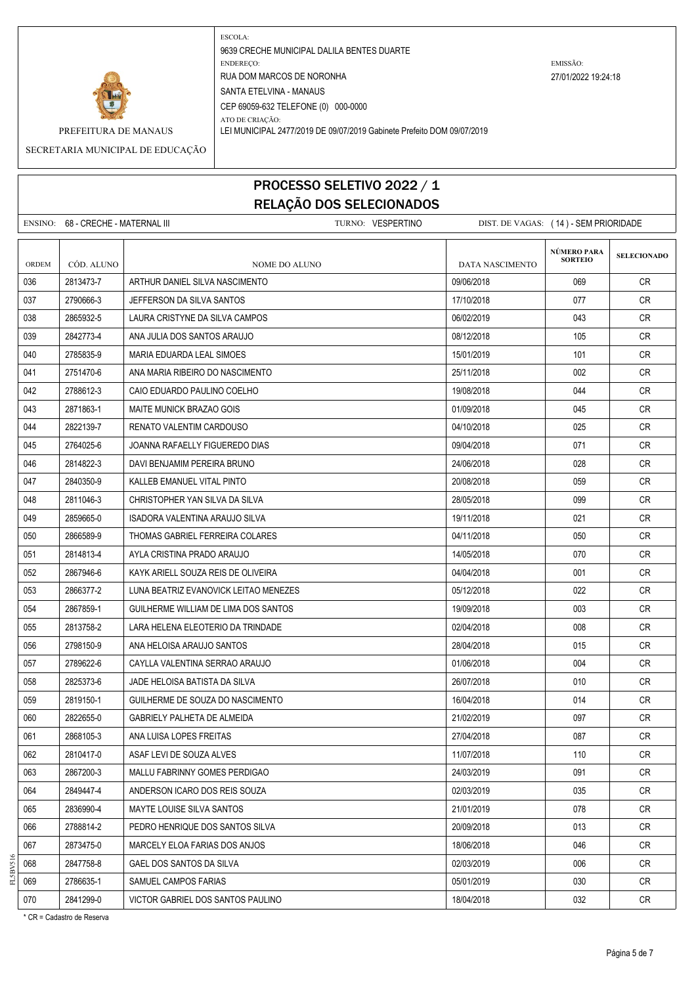

ATO DE CRIAÇÃO: PREFEITURA DE MANAUS LEI MUNICIPAL 2477/2019 DE 09/07/2019 Gabinete Prefeito DOM 09/07/2019

SECRETARIA MUNICIPAL DE EDUCAÇÃO

## PROCESSO SELETIVO 2022 / 1 RELAÇÃO DOS SELECIONADOS

|              | ENSINO: 68 - CRECHE - MATERNAL III |                                       | TURNO: VESPERTINO | DIST. DE VAGAS: (14) - SEM PRIORIDADE |                                      |                    |
|--------------|------------------------------------|---------------------------------------|-------------------|---------------------------------------|--------------------------------------|--------------------|
| <b>ORDEM</b> | CÓD. ALUNO                         | NOME DO ALUNO                         |                   | <b>DATA NASCIMENTO</b>                | <b>NÚMERO PARA</b><br><b>SORTEIO</b> | <b>SELECIONADO</b> |
| 036          | 2813473-7                          | ARTHUR DANIEL SILVA NASCIMENTO        |                   | 09/06/2018                            | 069                                  | CR.                |
| 037          | 2790666-3                          | JEFFERSON DA SILVA SANTOS             |                   | 17/10/2018                            | 077                                  | CR                 |
| 038          | 2865932-5                          | LAURA CRISTYNE DA SILVA CAMPOS        |                   | 06/02/2019                            | 043                                  | CR.                |
| 039          | 2842773-4                          | ANA JULIA DOS SANTOS ARAUJO           |                   | 08/12/2018                            | 105                                  | CR                 |
| 040          | 2785835-9                          | MARIA EDUARDA LEAL SIMOES             |                   | 15/01/2019                            | 101                                  | CR                 |
| 041          | 2751470-6                          | ANA MARIA RIBEIRO DO NASCIMENTO       |                   | 25/11/2018                            | 002                                  | CR.                |
| 042          | 2788612-3                          | CAIO EDUARDO PAULINO COELHO           |                   | 19/08/2018                            | 044                                  | CR                 |
| 043          | 2871863-1                          | MAITE MUNICK BRAZAO GOIS              |                   | 01/09/2018                            | 045                                  | CR                 |
| 044          | 2822139-7                          | RENATO VALENTIM CARDOUSO              |                   | 04/10/2018                            | 025                                  | CR.                |
| 045          | 2764025-6                          | JOANNA RAFAELLY FIGUEREDO DIAS        |                   | 09/04/2018                            | 071                                  | <b>CR</b>          |
| 046          | 2814822-3                          | DAVI BENJAMIM PEREIRA BRUNO           |                   | 24/06/2018                            | 028                                  | CR                 |
| 047          | 2840350-9                          | KALLEB EMANUEL VITAL PINTO            |                   | 20/08/2018                            | 059                                  | CR                 |
| 048          | 2811046-3                          | CHRISTOPHER YAN SILVA DA SILVA        |                   | 28/05/2018                            | 099                                  | CR.                |
| 049          | 2859665-0                          | ISADORA VALENTINA ARAUJO SILVA        |                   | 19/11/2018                            | 021                                  | CR                 |
| 050          | 2866589-9                          | THOMAS GABRIEL FERREIRA COLARES       |                   | 04/11/2018                            | 050                                  | <b>CR</b>          |
| 051          | 2814813-4                          | AYLA CRISTINA PRADO ARAUJO            |                   | 14/05/2018                            | 070                                  | <b>CR</b>          |
| 052          | 2867946-6                          | KAYK ARIELL SOUZA REIS DE OLIVEIRA    |                   | 04/04/2018                            | 001                                  | CR.                |
| 053          | 2866377-2                          | LUNA BEATRIZ EVANOVICK LEITAO MENEZES |                   | 05/12/2018                            | 022                                  | CR.                |
| 054          | 2867859-1                          | GUILHERME WILLIAM DE LIMA DOS SANTOS  |                   | 19/09/2018                            | 003                                  | CR                 |
| 055          | 2813758-2                          | LARA HELENA ELEOTERIO DA TRINDADE     |                   | 02/04/2018                            | 008                                  | CR                 |
| 056          | 2798150-9                          | ANA HELOISA ARAUJO SANTOS             |                   | 28/04/2018                            | 015                                  | CR                 |
| 057          | 2789622-6                          | CAYLLA VALENTINA SERRAO ARAUJO        |                   | 01/06/2018                            | 004                                  | CR                 |
| 058          | 2825373-6                          | JADE HELOISA BATISTA DA SILVA         |                   | 26/07/2018                            | 010                                  | CR                 |
| 059          | 2819150-1                          | GUILHERME DE SOUZA DO NASCIMENTO      |                   | 16/04/2018                            | 014                                  | <b>CR</b>          |
| 060          | 2822655-0                          | GABRIELY PALHETA DE ALMEIDA           |                   | 21/02/2019                            | 097                                  | CR.                |
| 061          | 2868105-3                          | ANA LUISA LOPES FREITAS               |                   | 27/04/2018                            | 087                                  | CR                 |
| 062          | 2810417-0                          | ASAF LEVI DE SOUZA ALVES              |                   | 11/07/2018                            | 110                                  | CR                 |
| 063          | 2867200-3                          | MALLU FABRINNY GOMES PERDIGAO         |                   | 24/03/2019                            | 091                                  | <b>CR</b>          |
| 064          | 2849447-4                          | ANDERSON ICARO DOS REIS SOUZA         |                   | 02/03/2019                            | 035                                  | CR                 |
| 065          | 2836990-4                          | MAYTE LOUISE SILVA SANTOS             |                   | 21/01/2019                            | 078                                  | <b>CR</b>          |
| 066          | 2788814-2                          | PEDRO HENRIQUE DOS SANTOS SILVA       |                   | 20/09/2018                            | 013                                  | CR                 |
| 067          | 2873475-0                          | MARCELY ELOA FARIAS DOS ANJOS         |                   | 18/06/2018                            | 046                                  | <b>CR</b>          |
| 068          | 2847758-8                          | GAEL DOS SANTOS DA SILVA              |                   | 02/03/2019                            | 006                                  | CR                 |
| 069          | 2786635-1                          | SAMUEL CAMPOS FARIAS                  |                   | 05/01/2019                            | 030                                  | CR                 |
| 070          | 2841299-0                          | VICTOR GABRIEL DOS SANTOS PAULINO     |                   | 18/04/2018                            | 032                                  | CR                 |

\* CR = Cadastro de Reserva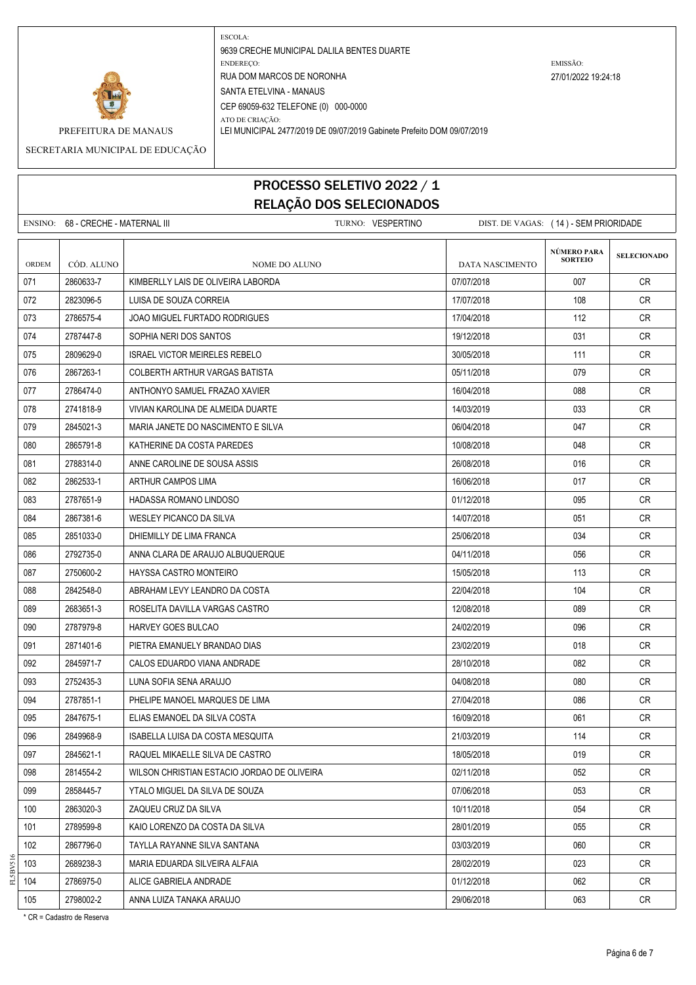

ATO DE CRIAÇÃO: PREFEITURA DE MANAUS LEI MUNICIPAL 2477/2019 DE 09/07/2019 Gabinete Prefeito DOM 09/07/2019

SECRETARIA MUNICIPAL DE EDUCAÇÃO

# PROCESSO SELETIVO 2022 / 1 RELAÇÃO DOS SELECIONADOS

|              | ENSINO: 68 - CRECHE - MATERNAL III |                                             | TURNO: VESPERTINO | DIST. DE VAGAS: (14) - SEM PRIORIDADE |                               |                    |
|--------------|------------------------------------|---------------------------------------------|-------------------|---------------------------------------|-------------------------------|--------------------|
| <b>ORDEM</b> | CÓD. ALUNO                         | NOME DO ALUNO                               |                   | <b>DATA NASCIMENTO</b>                | NÚMERO PARA<br><b>SORTEIO</b> | <b>SELECIONADO</b> |
| 071          | 2860633-7                          | KIMBERLLY LAIS DE OLIVEIRA LABORDA          |                   | 07/07/2018                            | 007                           | <b>CR</b>          |
| 072          | 2823096-5                          | LUISA DE SOUZA CORREIA                      |                   | 17/07/2018                            | 108                           | CR                 |
| 073          | 2786575-4                          | JOAO MIGUEL FURTADO RODRIGUES               |                   | 17/04/2018                            | 112                           | CR.                |
| 074          | 2787447-8                          | SOPHIA NERI DOS SANTOS                      |                   | 19/12/2018                            | 031                           | CR.                |
| 075          | 2809629-0                          | <b>ISRAEL VICTOR MEIRELES REBELO</b>        |                   | 30/05/2018                            | 111                           | CR                 |
| 076          | 2867263-1                          | COLBERTH ARTHUR VARGAS BATISTA              |                   | 05/11/2018                            | 079                           | <b>CR</b>          |
| 077          | 2786474-0                          | ANTHONYO SAMUEL FRAZAO XAVIER               |                   | 16/04/2018                            | 088                           | CR                 |
| 078          | 2741818-9                          | VIVIAN KAROLINA DE ALMEIDA DUARTE           |                   | 14/03/2019                            | 033                           | CR                 |
| 079          | 2845021-3                          | MARIA JANETE DO NASCIMENTO E SILVA          |                   | 06/04/2018                            | 047                           | CR.                |
| 080          | 2865791-8                          | KATHERINE DA COSTA PAREDES                  |                   | 10/08/2018                            | 048                           | <b>CR</b>          |
| 081          | 2788314-0                          | ANNE CAROLINE DE SOUSA ASSIS                |                   | 26/08/2018                            | 016                           | CR.                |
| 082          | 2862533-1                          | ARTHUR CAMPOS LIMA                          |                   | 16/06/2018                            | 017                           | CR                 |
| 083          | 2787651-9                          | HADASSA ROMANO LINDOSO                      |                   | 01/12/2018                            | 095                           | CR.                |
| 084          | 2867381-6                          | WESLEY PICANCO DA SILVA                     |                   | 14/07/2018                            | 051                           | CR                 |
| 085          | 2851033-0                          | DHIEMILLY DE LIMA FRANCA                    |                   | 25/06/2018                            | 034                           | <b>CR</b>          |
| 086          | 2792735-0                          | ANNA CLARA DE ARAUJO ALBUQUERQUE            |                   | 04/11/2018                            | 056                           | <b>CR</b>          |
| 087          | 2750600-2                          | HAYSSA CASTRO MONTEIRO                      |                   | 15/05/2018                            | 113                           | CR.                |
| 088          | 2842548-0                          | ABRAHAM LEVY LEANDRO DA COSTA               |                   | 22/04/2018                            | 104                           | <b>CR</b>          |
| 089          | 2683651-3                          | ROSELITA DAVILLA VARGAS CASTRO              |                   | 12/08/2018                            | 089                           | CR                 |
| 090          | 2787979-8                          | <b>HARVEY GOES BULCAO</b>                   |                   | 24/02/2019                            | 096                           | CR.                |
| 091          | 2871401-6                          | PIETRA EMANUELY BRANDAO DIAS                |                   | 23/02/2019                            | 018                           | CR.                |
| 092          | 2845971-7                          | CALOS EDUARDO VIANA ANDRADE                 |                   | 28/10/2018                            | 082                           | CR                 |
| 093          | 2752435-3                          | LUNA SOFIA SENA ARAUJO                      |                   | 04/08/2018                            | 080                           | CR                 |
| 094          | 2787851-1                          | PHELIPE MANOEL MARQUES DE LIMA              |                   | 27/04/2018                            | 086                           | <b>CR</b>          |
| 095          | 2847675-1                          | ELIAS EMANOEL DA SILVA COSTA                |                   | 16/09/2018                            | 061                           | CR                 |
| 096          | 2849968-9                          | ISABELLA LUISA DA COSTA MESQUITA            |                   | 21/03/2019                            | 114                           | CR                 |
| 097          | 2845621-1                          | RAQUEL MIKAELLE SILVA DE CASTRO             |                   | 18/05/2018                            | 019                           | CR                 |
| 098          | 2814554-2                          | WILSON CHRISTIAN ESTACIO JORDAO DE OLIVEIRA |                   | 02/11/2018                            | 052                           | <b>CR</b>          |
| 099          | 2858445-7                          | YTALO MIGUEL DA SILVA DE SOUZA              |                   | 07/06/2018                            | 053                           | CR                 |
| 100          | 2863020-3                          | ZAQUEU CRUZ DA SILVA                        |                   | 10/11/2018                            | 054                           | CR                 |
| 101          | 2789599-8                          | KAIO LORENZO DA COSTA DA SILVA              |                   | 28/01/2019                            | 055                           | CR                 |
| 102          | 2867796-0                          | TAYLLA RAYANNE SILVA SANTANA                |                   | 03/03/2019                            | 060                           | CR                 |
| 103          | 2689238-3                          | MARIA EDUARDA SILVEIRA ALFAIA               |                   | 28/02/2019                            | 023                           | CR                 |
| 104          | 2786975-0                          | ALICE GABRIELA ANDRADE                      |                   | 01/12/2018                            | 062                           | CR                 |
| 105          | 2798002-2                          | ANNA LUIZA TANAKA ARAUJO                    |                   | 29/06/2018                            | 063                           | CR                 |

\* CR = Cadastro de Reserva